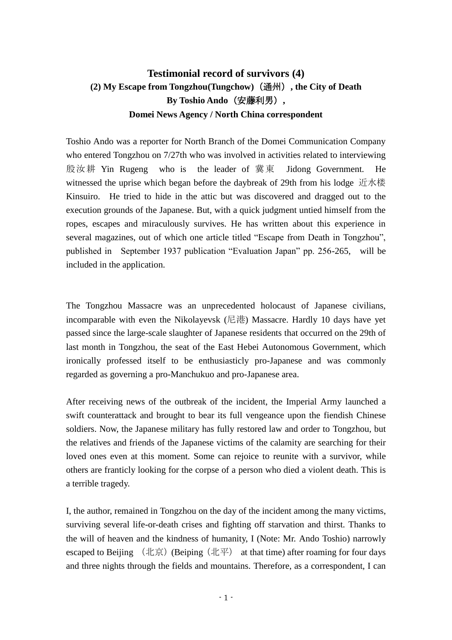## **Testimonial record of survivors (4) (2) My Escape from Tongzhou(Tungchow)**(通州)**, the City of Death By Toshio Ando**(安藤利男)**, Domei News Agency / North China correspondent**

Toshio Ando was a reporter for North Branch of the Domei Communication Company who entered Tongzhou on 7/27th who was involved in activities related to interviewing 殷汝耕 Yin Rugeng who is the leader of 冀東 Jidong Government. He witnessed the uprise which began before the daybreak of 29th from his lodge 近水楼 Kinsuiro. He tried to hide in the attic but was discovered and dragged out to the execution grounds of the Japanese. But, with a quick judgment untied himself from the ropes, escapes and miraculously survives. He has written about this experience in several magazines, out of which one article titled "Escape from Death in Tongzhou", published in September 1937 publication "Evaluation Japan" pp. 256-265, will be included in the application.

The Tongzhou Massacre was an unprecedented holocaust of Japanese civilians, incomparable with even the Nikolayevsk (尼港) Massacre. Hardly 10 days have yet passed since the large-scale slaughter of Japanese residents that occurred on the 29th of last month in Tongzhou, the seat of the East Hebei Autonomous Government, which ironically professed itself to be enthusiasticly pro-Japanese and was commonly regarded as governing a pro-Manchukuo and pro-Japanese area.

After receiving news of the outbreak of the incident, the Imperial Army launched a swift counterattack and brought to bear its full vengeance upon the fiendish Chinese soldiers. Now, the Japanese military has fully restored law and order to Tongzhou, but the relatives and friends of the Japanese victims of the calamity are searching for their loved ones even at this moment. Some can rejoice to reunite with a survivor, while others are franticly looking for the corpse of a person who died a violent death. This is a terrible tragedy.

I, the author, remained in Tongzhou on the day of the incident among the many victims, surviving several life-or-death crises and fighting off starvation and thirst. Thanks to the will of heaven and the kindness of humanity, I (Note: Mr. Ando Toshio) narrowly escaped to Beijing  $(1\text{E})$  (Beiping  $(1\text{E})$  at that time) after roaming for four days and three nights through the fields and mountains. Therefore, as a correspondent, I can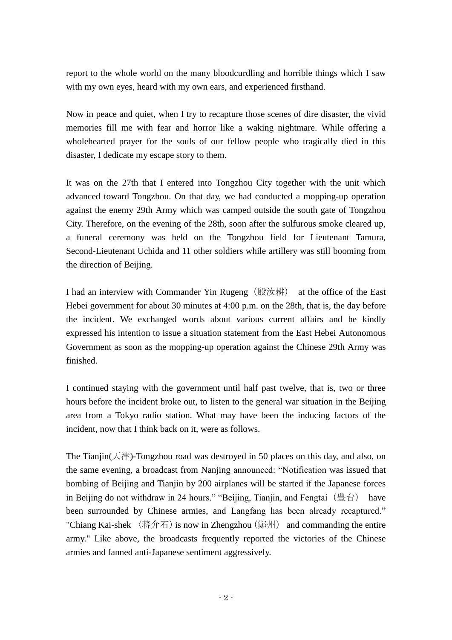report to the whole world on the many bloodcurdling and horrible things which I saw with my own eyes, heard with my own ears, and experienced firsthand.

Now in peace and quiet, when I try to recapture those scenes of dire disaster, the vivid memories fill me with fear and horror like a waking nightmare. While offering a wholehearted prayer for the souls of our fellow people who tragically died in this disaster, I dedicate my escape story to them.

It was on the 27th that I entered into Tongzhou City together with the unit which advanced toward Tongzhou. On that day, we had conducted a mopping-up operation against the enemy 29th Army which was camped outside the south gate of Tongzhou City. Therefore, on the evening of the 28th, soon after the sulfurous smoke cleared up, a funeral ceremony was held on the Tongzhou field for Lieutenant Tamura, Second-Lieutenant Uchida and 11 other soldiers while artillery was still booming from the direction of Beijing.

I had an interview with Commander Yin Rugeng(殷汝耕) at the office of the East Hebei government for about 30 minutes at 4:00 p.m. on the 28th, that is, the day before the incident. We exchanged words about various current affairs and he kindly expressed his intention to issue a situation statement from the East Hebei Autonomous Government as soon as the mopping-up operation against the Chinese 29th Army was finished.

I continued staying with the government until half past twelve, that is, two or three hours before the incident broke out, to listen to the general war situation in the Beijing area from a Tokyo radio station. What may have been the inducing factors of the incident, now that I think back on it, were as follows.

The Tianjin(天津)-Tongzhou road was destroyed in 50 places on this day, and also, on the same evening, a broadcast from Nanjing announced: "Notification was issued that bombing of Beijing and Tianjin by 200 airplanes will be started if the Japanese forces in Beijing do not withdraw in 24 hours." "Beijing, Tianjin, and Fengtai (豊台) have been surrounded by Chinese armies, and Langfang has been already recaptured." "Chiang Kai-shek  $\langle \frac{1}{11} \hat{F} \rangle$  is now in Zhengzhou  $(\frac{1}{21} \hat{F})$  and commanding the entire army." Like above, the broadcasts frequently reported the victories of the Chinese armies and fanned anti-Japanese sentiment aggressively.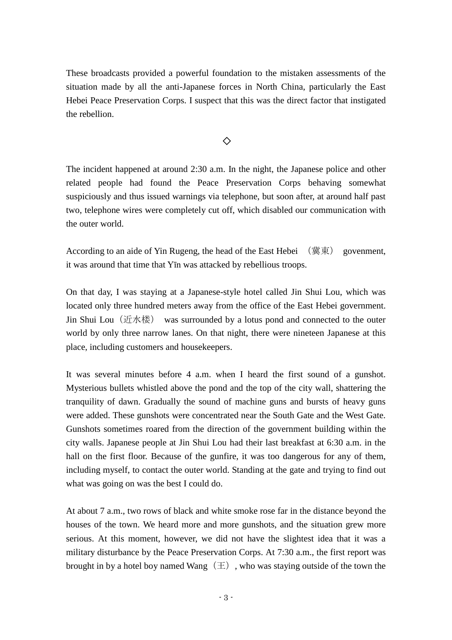These broadcasts provided a powerful foundation to the mistaken assessments of the situation made by all the anti-Japanese forces in North China, particularly the East Hebei Peace Preservation Corps. I suspect that this was the direct factor that instigated the rebellion.

◇

The incident happened at around 2:30 a.m. In the night, the Japanese police and other related people had found the Peace Preservation Corps behaving somewhat suspiciously and thus issued warnings via telephone, but soon after, at around half past two, telephone wires were completely cut off, which disabled our communication with the outer world.

According to an aide of Yin Rugeng, the head of the East Hebei (冀東) govenment, it was around that time that Yīn was attacked by rebellious troops.

On that day, I was staying at a Japanese-style hotel called Jin Shui Lou, which was located only three hundred meters away from the office of the East Hebei government. Jin Shui Lou (近水楼) was surrounded by a lotus pond and connected to the outer world by only three narrow lanes. On that night, there were nineteen Japanese at this place, including customers and housekeepers.

It was several minutes before 4 a.m. when I heard the first sound of a gunshot. Mysterious bullets whistled above the pond and the top of the city wall, shattering the tranquility of dawn. Gradually the sound of machine guns and bursts of heavy guns were added. These gunshots were concentrated near the South Gate and the West Gate. Gunshots sometimes roared from the direction of the government building within the city walls. Japanese people at Jin Shui Lou had their last breakfast at 6:30 a.m. in the hall on the first floor. Because of the gunfire, it was too dangerous for any of them, including myself, to contact the outer world. Standing at the gate and trying to find out what was going on was the best I could do.

At about 7 a.m., two rows of black and white smoke rose far in the distance beyond the houses of the town. We heard more and more gunshots, and the situation grew more serious. At this moment, however, we did not have the slightest idea that it was a military disturbance by the Peace Preservation Corps. At 7:30 a.m., the first report was brought in by a hotel boy named Wang $(\pm)$ , who was staying outside of the town the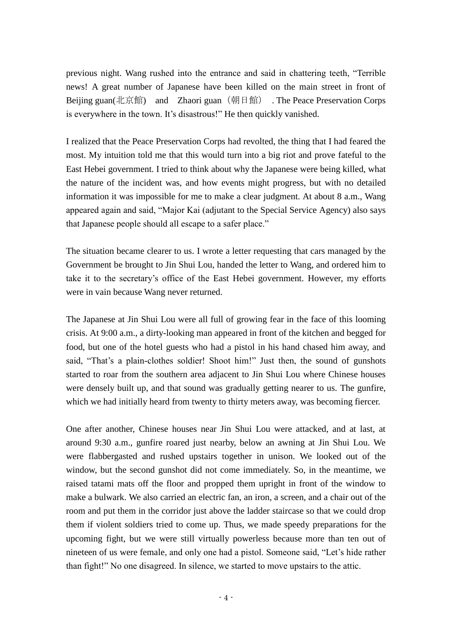previous night. Wang rushed into the entrance and said in chattering teeth, "Terrible news! A great number of Japanese have been killed on the main street in front of Beijing guan(北京館) and Zhaori guan (朝日館) . The Peace Preservation Corps is everywhere in the town. It's disastrous!" He then quickly vanished.

I realized that the Peace Preservation Corps had revolted, the thing that I had feared the most. My intuition told me that this would turn into a big riot and prove fateful to the East Hebei government. I tried to think about why the Japanese were being killed, what the nature of the incident was, and how events might progress, but with no detailed information it was impossible for me to make a clear judgment. At about 8 a.m., Wang appeared again and said, "Major Kai (adjutant to the Special Service Agency) also says that Japanese people should all escape to a safer place."

The situation became clearer to us. I wrote a letter requesting that cars managed by the Government be brought to Jin Shui Lou, handed the letter to Wang, and ordered him to take it to the secretary's office of the East Hebei government. However, my efforts were in vain because Wang never returned.

The Japanese at Jin Shui Lou were all full of growing fear in the face of this looming crisis. At 9:00 a.m., a dirty-looking man appeared in front of the kitchen and begged for food, but one of the hotel guests who had a pistol in his hand chased him away, and said, "That's a plain-clothes soldier! Shoot him!" Just then, the sound of gunshots started to roar from the southern area adjacent to Jin Shui Lou where Chinese houses were densely built up, and that sound was gradually getting nearer to us. The gunfire, which we had initially heard from twenty to thirty meters away, was becoming fiercer.

One after another, Chinese houses near Jin Shui Lou were attacked, and at last, at around 9:30 a.m., gunfire roared just nearby, below an awning at Jin Shui Lou. We were flabbergasted and rushed upstairs together in unison. We looked out of the window, but the second gunshot did not come immediately. So, in the meantime, we raised tatami mats off the floor and propped them upright in front of the window to make a bulwark. We also carried an electric fan, an iron, a screen, and a chair out of the room and put them in the corridor just above the ladder staircase so that we could drop them if violent soldiers tried to come up. Thus, we made speedy preparations for the upcoming fight, but we were still virtually powerless because more than ten out of nineteen of us were female, and only one had a pistol. Someone said, "Let's hide rather than fight!" No one disagreed. In silence, we started to move upstairs to the attic.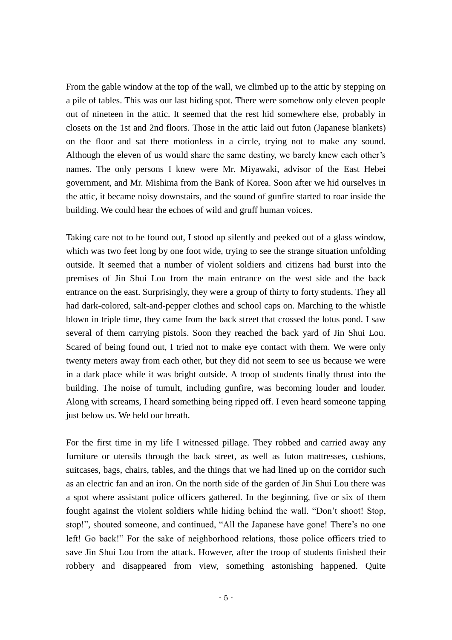From the gable window at the top of the wall, we climbed up to the attic by stepping on a pile of tables. This was our last hiding spot. There were somehow only eleven people out of nineteen in the attic. It seemed that the rest hid somewhere else, probably in closets on the 1st and 2nd floors. Those in the attic laid out futon (Japanese blankets) on the floor and sat there motionless in a circle, trying not to make any sound. Although the eleven of us would share the same destiny, we barely knew each other's names. The only persons I knew were Mr. Miyawaki, advisor of the East Hebei government, and Mr. Mishima from the Bank of Korea. Soon after we hid ourselves in the attic, it became noisy downstairs, and the sound of gunfire started to roar inside the building. We could hear the echoes of wild and gruff human voices.

Taking care not to be found out, I stood up silently and peeked out of a glass window, which was two feet long by one foot wide, trying to see the strange situation unfolding outside. It seemed that a number of violent soldiers and citizens had burst into the premises of Jin Shui Lou from the main entrance on the west side and the back entrance on the east. Surprisingly, they were a group of thirty to forty students. They all had dark-colored, salt-and-pepper clothes and school caps on. Marching to the whistle blown in triple time, they came from the back street that crossed the lotus pond. I saw several of them carrying pistols. Soon they reached the back yard of Jin Shui Lou. Scared of being found out, I tried not to make eye contact with them. We were only twenty meters away from each other, but they did not seem to see us because we were in a dark place while it was bright outside. A troop of students finally thrust into the building. The noise of tumult, including gunfire, was becoming louder and louder. Along with screams, I heard something being ripped off. I even heard someone tapping just below us. We held our breath.

For the first time in my life I witnessed pillage. They robbed and carried away any furniture or utensils through the back street, as well as futon mattresses, cushions, suitcases, bags, chairs, tables, and the things that we had lined up on the corridor such as an electric fan and an iron. On the north side of the garden of Jin Shui Lou there was a spot where assistant police officers gathered. In the beginning, five or six of them fought against the violent soldiers while hiding behind the wall. "Don't shoot! Stop, stop!", shouted someone, and continued, "All the Japanese have gone! There's no one left! Go back!" For the sake of neighborhood relations, those police officers tried to save Jin Shui Lou from the attack. However, after the troop of students finished their robbery and disappeared from view, something astonishing happened. Quite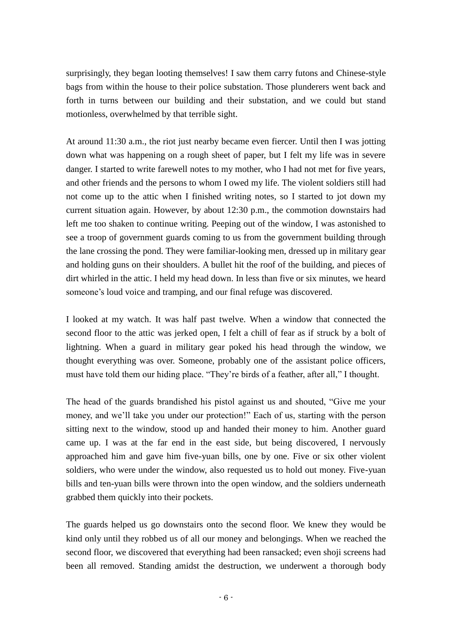surprisingly, they began looting themselves! I saw them carry futons and Chinese-style bags from within the house to their police substation. Those plunderers went back and forth in turns between our building and their substation, and we could but stand motionless, overwhelmed by that terrible sight.

At around 11:30 a.m., the riot just nearby became even fiercer. Until then I was jotting down what was happening on a rough sheet of paper, but I felt my life was in severe danger. I started to write farewell notes to my mother, who I had not met for five years, and other friends and the persons to whom I owed my life. The violent soldiers still had not come up to the attic when I finished writing notes, so I started to jot down my current situation again. However, by about 12:30 p.m., the commotion downstairs had left me too shaken to continue writing. Peeping out of the window, I was astonished to see a troop of government guards coming to us from the government building through the lane crossing the pond. They were familiar-looking men, dressed up in military gear and holding guns on their shoulders. A bullet hit the roof of the building, and pieces of dirt whirled in the attic. I held my head down. In less than five or six minutes, we heard someone's loud voice and tramping, and our final refuge was discovered.

I looked at my watch. It was half past twelve. When a window that connected the second floor to the attic was jerked open, I felt a chill of fear as if struck by a bolt of lightning. When a guard in military gear poked his head through the window, we thought everything was over. Someone, probably one of the assistant police officers, must have told them our hiding place. "They're birds of a feather, after all," I thought.

The head of the guards brandished his pistol against us and shouted, "Give me your money, and we'll take you under our protection!" Each of us, starting with the person sitting next to the window, stood up and handed their money to him. Another guard came up. I was at the far end in the east side, but being discovered, I nervously approached him and gave him five-yuan bills, one by one. Five or six other violent soldiers, who were under the window, also requested us to hold out money. Five-yuan bills and ten-yuan bills were thrown into the open window, and the soldiers underneath grabbed them quickly into their pockets.

The guards helped us go downstairs onto the second floor. We knew they would be kind only until they robbed us of all our money and belongings. When we reached the second floor, we discovered that everything had been ransacked; even shoji screens had been all removed. Standing amidst the destruction, we underwent a thorough body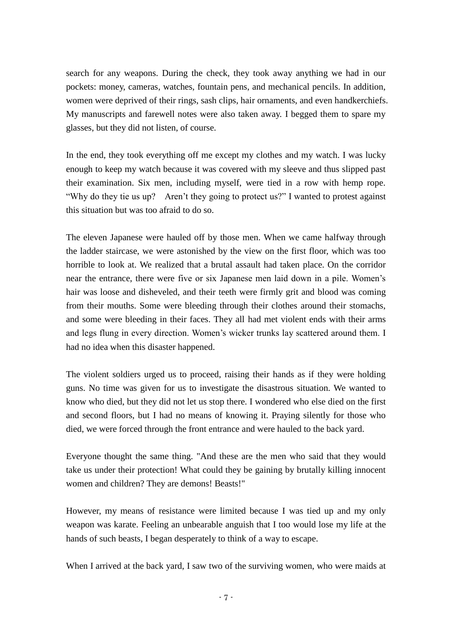search for any weapons. During the check, they took away anything we had in our pockets: money, cameras, watches, fountain pens, and mechanical pencils. In addition, women were deprived of their rings, sash clips, hair ornaments, and even handkerchiefs. My manuscripts and farewell notes were also taken away. I begged them to spare my glasses, but they did not listen, of course.

In the end, they took everything off me except my clothes and my watch. I was lucky enough to keep my watch because it was covered with my sleeve and thus slipped past their examination. Six men, including myself, were tied in a row with hemp rope. "Why do they tie us up? Aren't they going to protect us?" I wanted to protest against this situation but was too afraid to do so.

The eleven Japanese were hauled off by those men. When we came halfway through the ladder staircase, we were astonished by the view on the first floor, which was too horrible to look at. We realized that a brutal assault had taken place. On the corridor near the entrance, there were five or six Japanese men laid down in a pile. Women's hair was loose and disheveled, and their teeth were firmly grit and blood was coming from their mouths. Some were bleeding through their clothes around their stomachs, and some were bleeding in their faces. They all had met violent ends with their arms and legs flung in every direction. Women's wicker trunks lay scattered around them. I had no idea when this disaster happened.

The violent soldiers urged us to proceed, raising their hands as if they were holding guns. No time was given for us to investigate the disastrous situation. We wanted to know who died, but they did not let us stop there. I wondered who else died on the first and second floors, but I had no means of knowing it. Praying silently for those who died, we were forced through the front entrance and were hauled to the back yard.

Everyone thought the same thing. "And these are the men who said that they would take us under their protection! What could they be gaining by brutally killing innocent women and children? They are demons! Beasts!"

However, my means of resistance were limited because I was tied up and my only weapon was karate. Feeling an unbearable anguish that I too would lose my life at the hands of such beasts, I began desperately to think of a way to escape.

When I arrived at the back yard, I saw two of the surviving women, who were maids at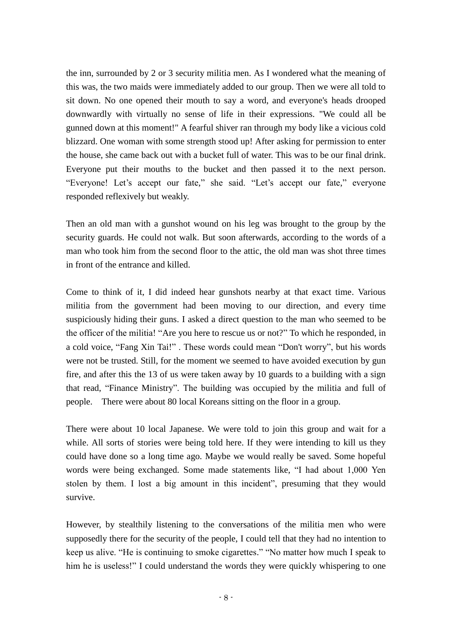the inn, surrounded by 2 or 3 security militia men. As I wondered what the meaning of this was, the two maids were immediately added to our group. Then we were all told to sit down. No one opened their mouth to say a word, and everyone's heads drooped downwardly with virtually no sense of life in their expressions. "We could all be gunned down at this moment!" A fearful shiver ran through my body like a vicious cold blizzard. One woman with some strength stood up! After asking for permission to enter the house, she came back out with a bucket full of water. This was to be our final drink. Everyone put their mouths to the bucket and then passed it to the next person. "Everyone! Let's accept our fate," she said. "Let's accept our fate," everyone responded reflexively but weakly.

Then an old man with a gunshot wound on his leg was brought to the group by the security guards. He could not walk. But soon afterwards, according to the words of a man who took him from the second floor to the attic, the old man was shot three times in front of the entrance and killed.

Come to think of it, I did indeed hear gunshots nearby at that exact time. Various militia from the government had been moving to our direction, and every time suspiciously hiding their guns. I asked a direct question to the man who seemed to be the officer of the militia! "Are you here to rescue us or not?" To which he responded, in a cold voice, "Fang Xin Tai!" . These words could mean "Don't worry", but his words were not be trusted. Still, for the moment we seemed to have avoided execution by gun fire, and after this the 13 of us were taken away by 10 guards to a building with a sign that read, "Finance Ministry". The building was occupied by the militia and full of people. There were about 80 local Koreans sitting on the floor in a group.

There were about 10 local Japanese. We were told to join this group and wait for a while. All sorts of stories were being told here. If they were intending to kill us they could have done so a long time ago. Maybe we would really be saved. Some hopeful words were being exchanged. Some made statements like, "I had about 1,000 Yen stolen by them. I lost a big amount in this incident", presuming that they would survive.

However, by stealthily listening to the conversations of the militia men who were supposedly there for the security of the people, I could tell that they had no intention to keep us alive. "He is continuing to smoke cigarettes." "No matter how much I speak to him he is useless!" I could understand the words they were quickly whispering to one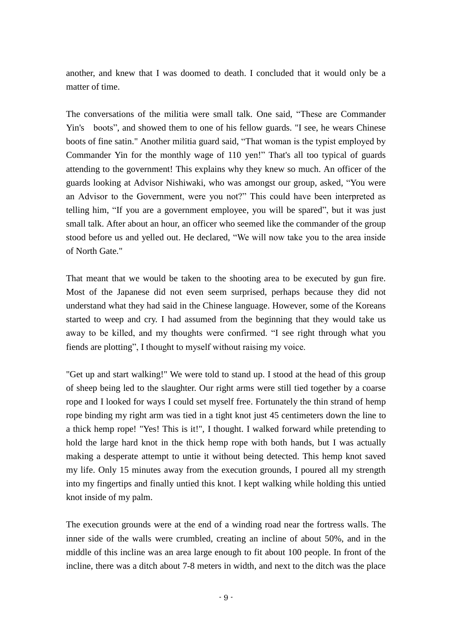another, and knew that I was doomed to death. I concluded that it would only be a matter of time.

The conversations of the militia were small talk. One said, "These are Commander Yin's boots", and showed them to one of his fellow guards. "I see, he wears Chinese boots of fine satin." Another militia guard said, "That woman is the typist employed by Commander Yin for the monthly wage of 110 yen!" That's all too typical of guards attending to the government! This explains why they knew so much. An officer of the guards looking at Advisor Nishiwaki, who was amongst our group, asked, "You were an Advisor to the Government, were you not?" This could have been interpreted as telling him, "If you are a government employee, you will be spared", but it was just small talk. After about an hour, an officer who seemed like the commander of the group stood before us and yelled out. He declared, "We will now take you to the area inside of North Gate."

That meant that we would be taken to the shooting area to be executed by gun fire. Most of the Japanese did not even seem surprised, perhaps because they did not understand what they had said in the Chinese language. However, some of the Koreans started to weep and cry. I had assumed from the beginning that they would take us away to be killed, and my thoughts were confirmed. "I see right through what you fiends are plotting", I thought to myself without raising my voice.

"Get up and start walking!" We were told to stand up. I stood at the head of this group of sheep being led to the slaughter. Our right arms were still tied together by a coarse rope and I looked for ways I could set myself free. Fortunately the thin strand of hemp rope binding my right arm was tied in a tight knot just 45 centimeters down the line to a thick hemp rope! "Yes! This is it!", I thought. I walked forward while pretending to hold the large hard knot in the thick hemp rope with both hands, but I was actually making a desperate attempt to untie it without being detected. This hemp knot saved my life. Only 15 minutes away from the execution grounds, I poured all my strength into my fingertips and finally untied this knot. I kept walking while holding this untied knot inside of my palm.

The execution grounds were at the end of a winding road near the fortress walls. The inner side of the walls were crumbled, creating an incline of about 50%, and in the middle of this incline was an area large enough to fit about 100 people. In front of the incline, there was a ditch about 7-8 meters in width, and next to the ditch was the place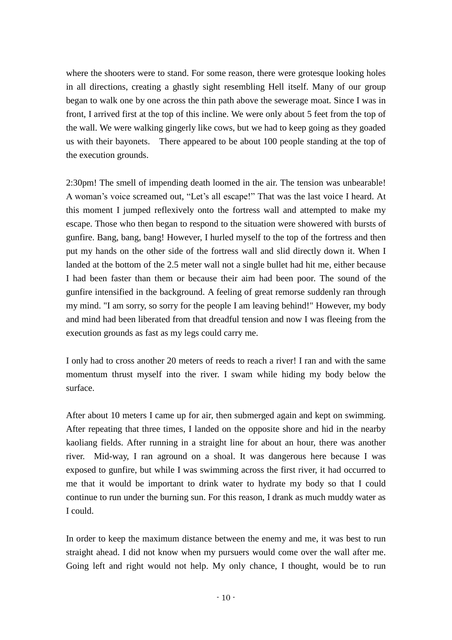where the shooters were to stand. For some reason, there were grotesque looking holes in all directions, creating a ghastly sight resembling Hell itself. Many of our group began to walk one by one across the thin path above the sewerage moat. Since I was in front, I arrived first at the top of this incline. We were only about 5 feet from the top of the wall. We were walking gingerly like cows, but we had to keep going as they goaded us with their bayonets. There appeared to be about 100 people standing at the top of the execution grounds.

2:30pm! The smell of impending death loomed in the air. The tension was unbearable! A woman's voice screamed out, "Let's all escape!" That was the last voice I heard. At this moment I jumped reflexively onto the fortress wall and attempted to make my escape. Those who then began to respond to the situation were showered with bursts of gunfire. Bang, bang, bang! However, I hurled myself to the top of the fortress and then put my hands on the other side of the fortress wall and slid directly down it. When I landed at the bottom of the 2.5 meter wall not a single bullet had hit me, either because I had been faster than them or because their aim had been poor. The sound of the gunfire intensified in the background. A feeling of great remorse suddenly ran through my mind. "I am sorry, so sorry for the people I am leaving behind!" However, my body and mind had been liberated from that dreadful tension and now I was fleeing from the execution grounds as fast as my legs could carry me.

I only had to cross another 20 meters of reeds to reach a river! I ran and with the same momentum thrust myself into the river. I swam while hiding my body below the surface.

After about 10 meters I came up for air, then submerged again and kept on swimming. After repeating that three times, I landed on the opposite shore and hid in the nearby kaoliang fields. After running in a straight line for about an hour, there was another river. Mid-way, I ran aground on a shoal. It was dangerous here because I was exposed to gunfire, but while I was swimming across the first river, it had occurred to me that it would be important to drink water to hydrate my body so that I could continue to run under the burning sun. For this reason, I drank as much muddy water as I could.

In order to keep the maximum distance between the enemy and me, it was best to run straight ahead. I did not know when my pursuers would come over the wall after me. Going left and right would not help. My only chance, I thought, would be to run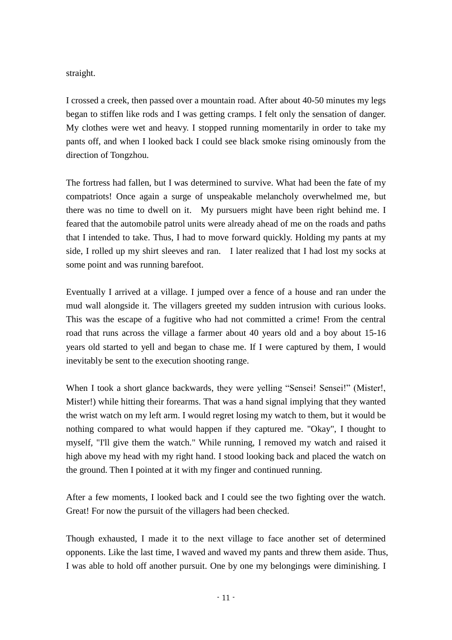straight.

I crossed a creek, then passed over a mountain road. After about 40-50 minutes my legs began to stiffen like rods and I was getting cramps. I felt only the sensation of danger. My clothes were wet and heavy. I stopped running momentarily in order to take my pants off, and when I looked back I could see black smoke rising ominously from the direction of Tongzhou.

The fortress had fallen, but I was determined to survive. What had been the fate of my compatriots! Once again a surge of unspeakable melancholy overwhelmed me, but there was no time to dwell on it. My pursuers might have been right behind me. I feared that the automobile patrol units were already ahead of me on the roads and paths that I intended to take. Thus, I had to move forward quickly. Holding my pants at my side, I rolled up my shirt sleeves and ran. I later realized that I had lost my socks at some point and was running barefoot.

Eventually I arrived at a village. I jumped over a fence of a house and ran under the mud wall alongside it. The villagers greeted my sudden intrusion with curious looks. This was the escape of a fugitive who had not committed a crime! From the central road that runs across the village a farmer about 40 years old and a boy about 15-16 years old started to yell and began to chase me. If I were captured by them, I would inevitably be sent to the execution shooting range.

When I took a short glance backwards, they were yelling "Sensei! Sensei!" (Mister!, Mister!) while hitting their forearms. That was a hand signal implying that they wanted the wrist watch on my left arm. I would regret losing my watch to them, but it would be nothing compared to what would happen if they captured me. "Okay", I thought to myself, "I'll give them the watch." While running, I removed my watch and raised it high above my head with my right hand. I stood looking back and placed the watch on the ground. Then I pointed at it with my finger and continued running.

After a few moments, I looked back and I could see the two fighting over the watch. Great! For now the pursuit of the villagers had been checked.

Though exhausted, I made it to the next village to face another set of determined opponents. Like the last time, I waved and waved my pants and threw them aside. Thus, I was able to hold off another pursuit. One by one my belongings were diminishing. I